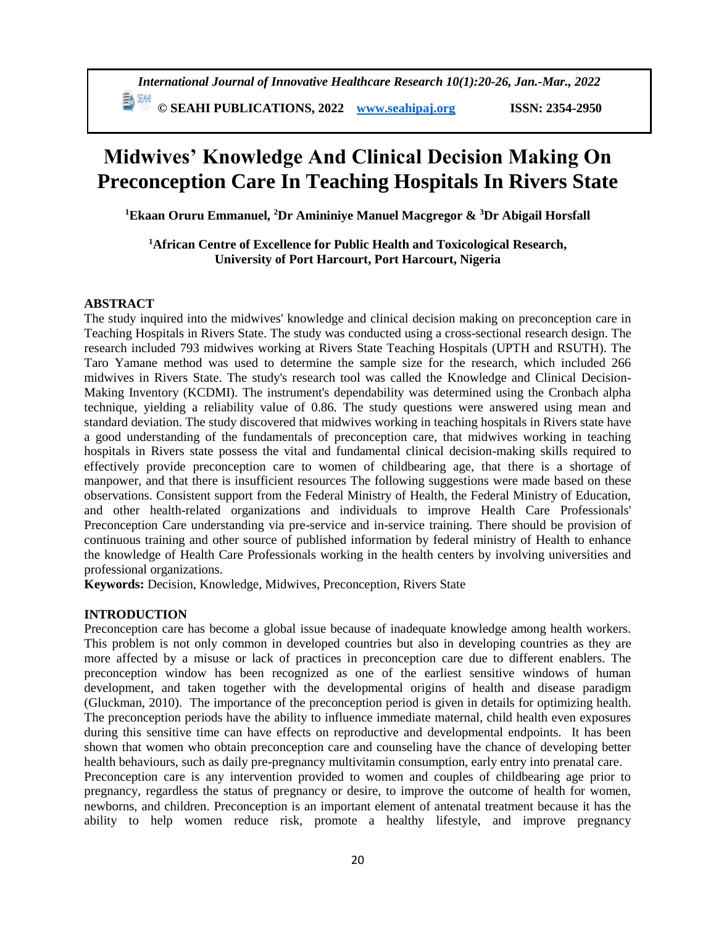# **Midwives' Knowledge And Clinical Decision Making On Preconception Care In Teaching Hospitals In Rivers State**

**<sup>1</sup>Ekaan Oruru Emmanuel, <sup>2</sup>Dr Amininiye Manuel Macgregor & <sup>3</sup>Dr Abigail Horsfall**

**<sup>1</sup>African Centre of Excellence for Public Health and Toxicological Research, University of Port Harcourt, Port Harcourt, Nigeria**

## **ABSTRACT**

The study inquired into the midwives' knowledge and clinical decision making on preconception care in Teaching Hospitals in Rivers State. The study was conducted using a cross-sectional research design. The research included 793 midwives working at Rivers State Teaching Hospitals (UPTH and RSUTH). The Taro Yamane method was used to determine the sample size for the research, which included 266 midwives in Rivers State. The study's research tool was called the Knowledge and Clinical Decision-Making Inventory (KCDMI). The instrument's dependability was determined using the Cronbach alpha technique, yielding a reliability value of 0.86. The study questions were answered using mean and standard deviation. The study discovered that midwives working in teaching hospitals in Rivers state have a good understanding of the fundamentals of preconception care, that midwives working in teaching hospitals in Rivers state possess the vital and fundamental clinical decision-making skills required to effectively provide preconception care to women of childbearing age, that there is a shortage of manpower, and that there is insufficient resources The following suggestions were made based on these observations. Consistent support from the Federal Ministry of Health, the Federal Ministry of Education, and other health-related organizations and individuals to improve Health Care Professionals' Preconception Care understanding via pre-service and in-service training. There should be provision of continuous training and other source of published information by federal ministry of Health to enhance the knowledge of Health Care Professionals working in the health centers by involving universities and professional organizations.

**Keywords:** Decision, Knowledge, Midwives, Preconception, Rivers State

# **INTRODUCTION**

Preconception care has become a global issue because of inadequate knowledge among health workers. This problem is not only common in developed countries but also in developing countries as they are more affected by a misuse or lack of practices in preconception care due to different enablers. The preconception window has been recognized as one of the earliest sensitive windows of human development, and taken together with the developmental origins of health and disease paradigm (Gluckman, 2010). The importance of the preconception period is given in details for optimizing health. The preconception periods have the ability to influence immediate maternal, child health even exposures during this sensitive time can have effects on reproductive and developmental endpoints. It has been shown that women who obtain preconception care and counseling have the chance of developing better health behaviours, such as daily pre-pregnancy multivitamin consumption, early entry into prenatal care.

Preconception care is any intervention provided to women and couples of childbearing age prior to pregnancy, regardless the status of pregnancy or desire, to improve the outcome of health for women, newborns, and children. Preconception is an important element of antenatal treatment because it has the ability to help women reduce risk, promote a healthy lifestyle, and improve pregnancy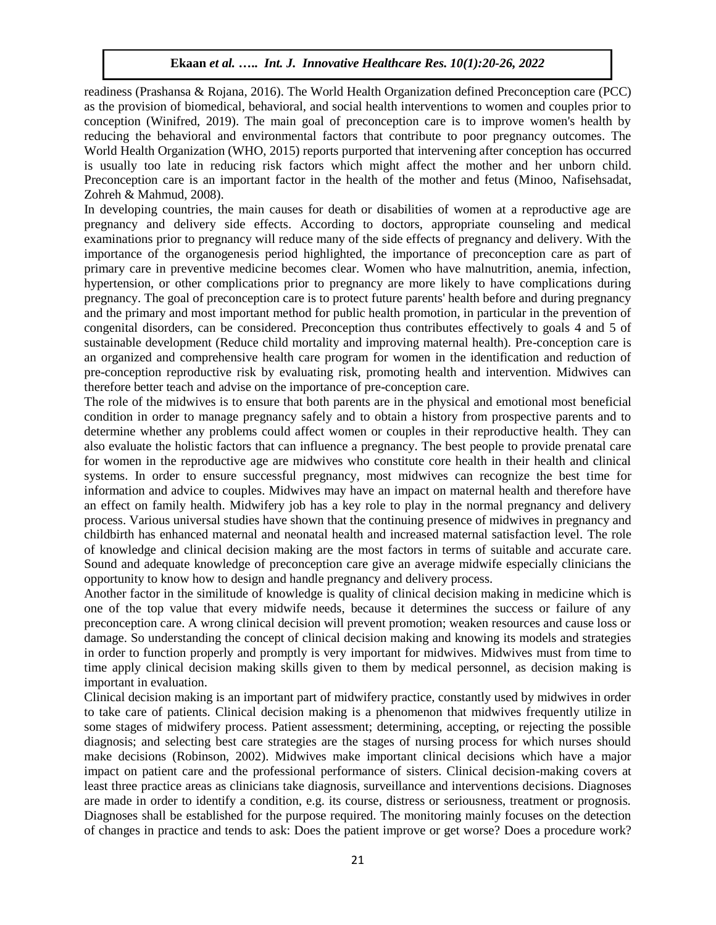readiness (Prashansa & Rojana, 2016). The World Health Organization defined Preconception care (PCC) as the provision of biomedical, behavioral, and social health interventions to women and couples prior to conception (Winifred, 2019). The main goal of preconception care is to improve women's health by reducing the behavioral and environmental factors that contribute to poor pregnancy outcomes. The World Health Organization (WHO, 2015) reports purported that intervening after conception has occurred is usually too late in reducing risk factors which might affect the mother and her unborn child. Preconception care is an important factor in the health of the mother and fetus (Minoo, Nafisehsadat, Zohreh & Mahmud, 2008).

In developing countries, the main causes for death or disabilities of women at a reproductive age are pregnancy and delivery side effects. According to doctors, appropriate counseling and medical examinations prior to pregnancy will reduce many of the side effects of pregnancy and delivery. With the importance of the organogenesis period highlighted, the importance of preconception care as part of primary care in preventive medicine becomes clear. Women who have malnutrition, anemia, infection, hypertension, or other complications prior to pregnancy are more likely to have complications during pregnancy. The goal of preconception care is to protect future parents' health before and during pregnancy and the primary and most important method for public health promotion, in particular in the prevention of congenital disorders, can be considered. Preconception thus contributes effectively to goals 4 and 5 of sustainable development (Reduce child mortality and improving maternal health). Pre-conception care is an organized and comprehensive health care program for women in the identification and reduction of pre-conception reproductive risk by evaluating risk, promoting health and intervention. Midwives can therefore better teach and advise on the importance of pre-conception care.

The role of the midwives is to ensure that both parents are in the physical and emotional most beneficial condition in order to manage pregnancy safely and to obtain a history from prospective parents and to determine whether any problems could affect women or couples in their reproductive health. They can also evaluate the holistic factors that can influence a pregnancy. The best people to provide prenatal care for women in the reproductive age are midwives who constitute core health in their health and clinical systems. In order to ensure successful pregnancy, most midwives can recognize the best time for information and advice to couples. Midwives may have an impact on maternal health and therefore have an effect on family health. Midwifery job has a key role to play in the normal pregnancy and delivery process. Various universal studies have shown that the continuing presence of midwives in pregnancy and childbirth has enhanced maternal and neonatal health and increased maternal satisfaction level. The role of knowledge and clinical decision making are the most factors in terms of suitable and accurate care. Sound and adequate knowledge of preconception care give an average midwife especially clinicians the opportunity to know how to design and handle pregnancy and delivery process.

Another factor in the similitude of knowledge is quality of clinical decision making in medicine which is one of the top value that every midwife needs, because it determines the success or failure of any preconception care. A wrong clinical decision will prevent promotion; weaken resources and cause loss or damage. So understanding the concept of clinical decision making and knowing its models and strategies in order to function properly and promptly is very important for midwives. Midwives must from time to time apply clinical decision making skills given to them by medical personnel, as decision making is important in evaluation.

Clinical decision making is an important part of midwifery practice, constantly used by midwives in order to take care of patients. Clinical decision making is a phenomenon that midwives frequently utilize in some stages of midwifery process. Patient assessment; determining, accepting, or rejecting the possible diagnosis; and selecting best care strategies are the stages of nursing process for which nurses should make decisions (Robinson, 2002). Midwives make important clinical decisions which have a major impact on patient care and the professional performance of sisters. Clinical decision-making covers at least three practice areas as clinicians take diagnosis, surveillance and interventions decisions. Diagnoses are made in order to identify a condition, e.g. its course, distress or seriousness, treatment or prognosis. Diagnoses shall be established for the purpose required. The monitoring mainly focuses on the detection of changes in practice and tends to ask: Does the patient improve or get worse? Does a procedure work?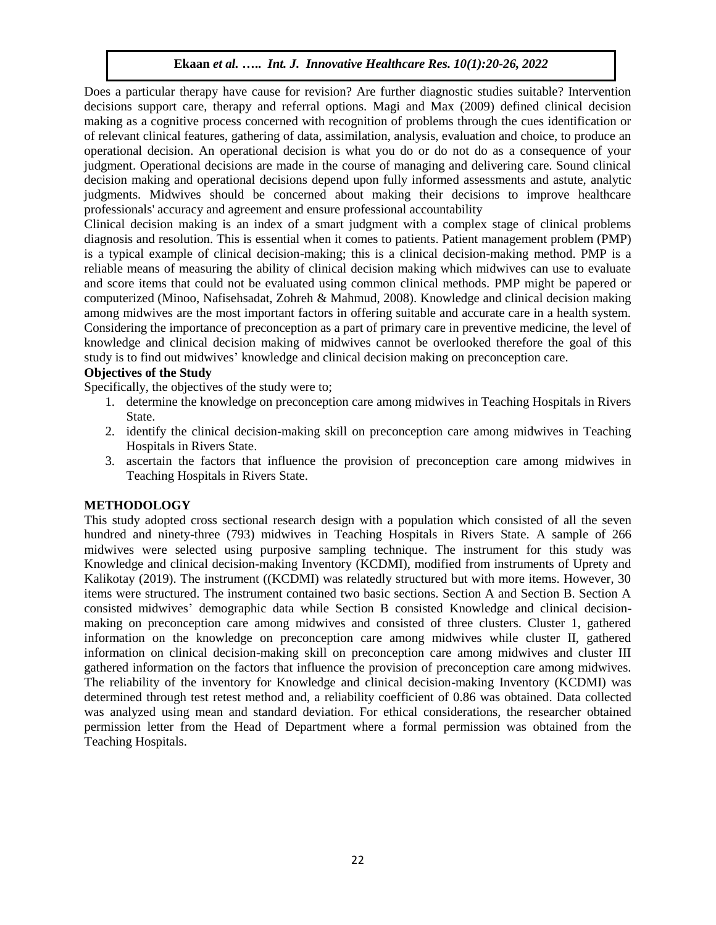Does a particular therapy have cause for revision? Are further diagnostic studies suitable? Intervention decisions support care, therapy and referral options. Magi and Max (2009) defined clinical decision making as a cognitive process concerned with recognition of problems through the cues identification or of relevant clinical features, gathering of data, assimilation, analysis, evaluation and choice, to produce an operational decision. An operational decision is what you do or do not do as a consequence of your judgment. Operational decisions are made in the course of managing and delivering care. Sound clinical decision making and operational decisions depend upon fully informed assessments and astute, analytic judgments. Midwives should be concerned about making their decisions to improve healthcare professionals' accuracy and agreement and ensure professional accountability

Clinical decision making is an index of a smart judgment with a complex stage of clinical problems diagnosis and resolution. This is essential when it comes to patients. Patient management problem (PMP) is a typical example of clinical decision-making; this is a clinical decision-making method. PMP is a reliable means of measuring the ability of clinical decision making which midwives can use to evaluate and score items that could not be evaluated using common clinical methods. PMP might be papered or computerized (Minoo, Nafisehsadat, Zohreh & Mahmud, 2008). Knowledge and clinical decision making among midwives are the most important factors in offering suitable and accurate care in a health system. Considering the importance of preconception as a part of primary care in preventive medicine, the level of knowledge and clinical decision making of midwives cannot be overlooked therefore the goal of this study is to find out midwives' knowledge and clinical decision making on preconception care.

## **Objectives of the Study**

Specifically, the objectives of the study were to;

- 1. determine the knowledge on preconception care among midwives in Teaching Hospitals in Rivers State.
- 2. identify the clinical decision-making skill on preconception care among midwives in Teaching Hospitals in Rivers State.
- 3. ascertain the factors that influence the provision of preconception care among midwives in Teaching Hospitals in Rivers State.

#### **METHODOLOGY**

This study adopted cross sectional research design with a population which consisted of all the seven hundred and ninety-three (793) midwives in Teaching Hospitals in Rivers State. A sample of 266 midwives were selected using purposive sampling technique. The instrument for this study was Knowledge and clinical decision-making Inventory (KCDMI), modified from instruments of Uprety and Kalikotay (2019). The instrument ((KCDMI) was relatedly structured but with more items. However, 30 items were structured. The instrument contained two basic sections. Section A and Section B. Section A consisted midwives' demographic data while Section B consisted Knowledge and clinical decisionmaking on preconception care among midwives and consisted of three clusters. Cluster 1, gathered information on the knowledge on preconception care among midwives while cluster II, gathered information on clinical decision-making skill on preconception care among midwives and cluster III gathered information on the factors that influence the provision of preconception care among midwives. The reliability of the inventory for Knowledge and clinical decision-making Inventory (KCDMI) was determined through test retest method and, a reliability coefficient of 0.86 was obtained. Data collected was analyzed using mean and standard deviation. For ethical considerations, the researcher obtained permission letter from the Head of Department where a formal permission was obtained from the Teaching Hospitals.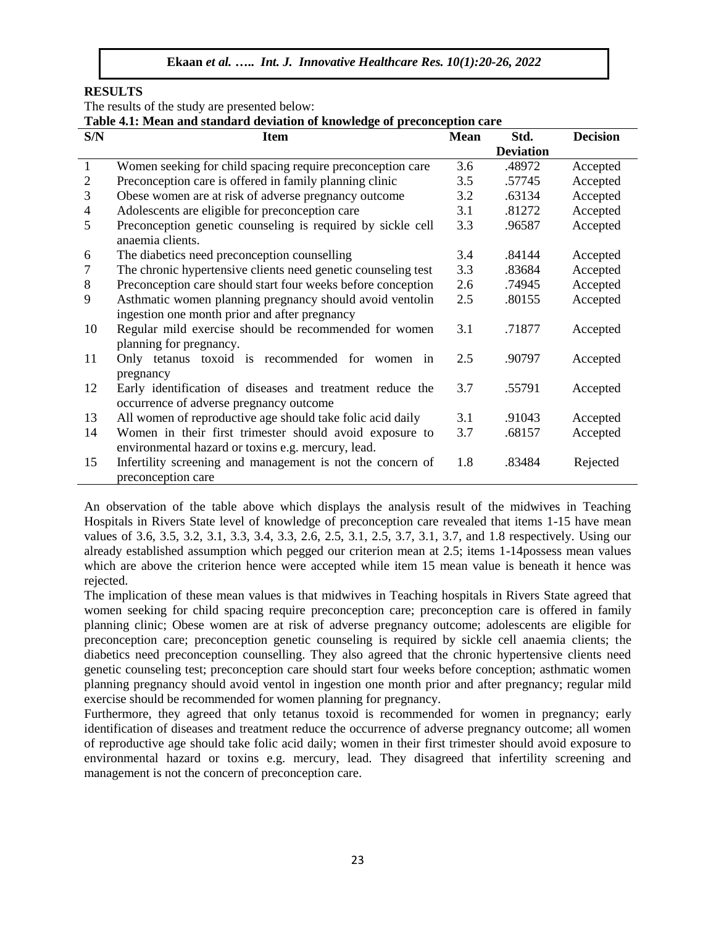#### **RESULTS**

The results of the study are presented below:

**Table 4.1: Mean and standard deviation of knowledge of preconception care**

| S/N            | <b>Item</b>                                                   | <b>Mean</b> | Std.             | <b>Decision</b> |
|----------------|---------------------------------------------------------------|-------------|------------------|-----------------|
|                |                                                               |             | <b>Deviation</b> |                 |
| $\mathbf{1}$   | Women seeking for child spacing require preconception care    | 3.6         | .48972           | Accepted        |
| $\overline{2}$ | Preconception care is offered in family planning clinic       | 3.5         | .57745           | Accepted        |
| 3              | Obese women are at risk of adverse pregnancy outcome          | 3.2         | .63134           | Accepted        |
| 4              | Adolescents are eligible for preconception care               | 3.1         | .81272           | Accepted        |
| 5              | Preconception genetic counseling is required by sickle cell   | 3.3         | .96587           | Accepted        |
|                | anaemia clients.                                              |             |                  |                 |
| 6              | The diabetics need preconception counselling                  | 3.4         | .84144           | Accepted        |
| 7              | The chronic hypertensive clients need genetic counseling test | 3.3         | .83684           | Accepted        |
| 8              | Preconception care should start four weeks before conception  | 2.6         | .74945           | Accepted        |
| 9              | Asthmatic women planning pregnancy should avoid ventolin      | 2.5         | .80155           | Accepted        |
|                | ingestion one month prior and after pregnancy                 |             |                  |                 |
| 10             | Regular mild exercise should be recommended for women         | 3.1         | .71877           | Accepted        |
|                | planning for pregnancy.                                       |             |                  |                 |
| 11             | Only tetanus toxoid is recommended for women in               | 2.5         | .90797           | Accepted        |
|                | pregnancy                                                     |             |                  |                 |
| 12             | Early identification of diseases and treatment reduce the     | 3.7         | .55791           | Accepted        |
|                | occurrence of adverse pregnancy outcome                       |             |                  |                 |
| 13             | All women of reproductive age should take folic acid daily    | 3.1         | .91043           | Accepted        |
| 14             | Women in their first trimester should avoid exposure to       | 3.7         | .68157           | Accepted        |
|                | environmental hazard or toxins e.g. mercury, lead.            |             |                  |                 |
| 15             | Infertility screening and management is not the concern of    | 1.8         | .83484           | Rejected        |
|                | preconception care                                            |             |                  |                 |

An observation of the table above which displays the analysis result of the midwives in Teaching Hospitals in Rivers State level of knowledge of preconception care revealed that items 1-15 have mean values of 3.6, 3.5, 3.2, 3.1, 3.3, 3.4, 3.3, 2.6, 2.5, 3.1, 2.5, 3.7, 3.1, 3.7, and 1.8 respectively. Using our already established assumption which pegged our criterion mean at 2.5; items 1-14possess mean values which are above the criterion hence were accepted while item 15 mean value is beneath it hence was rejected.

The implication of these mean values is that midwives in Teaching hospitals in Rivers State agreed that women seeking for child spacing require preconception care; preconception care is offered in family planning clinic; Obese women are at risk of adverse pregnancy outcome; adolescents are eligible for preconception care; preconception genetic counseling is required by sickle cell anaemia clients; the diabetics need preconception counselling. They also agreed that the chronic hypertensive clients need genetic counseling test; preconception care should start four weeks before conception; asthmatic women planning pregnancy should avoid ventol in ingestion one month prior and after pregnancy; regular mild exercise should be recommended for women planning for pregnancy.

Furthermore, they agreed that only tetanus toxoid is recommended for women in pregnancy; early identification of diseases and treatment reduce the occurrence of adverse pregnancy outcome; all women of reproductive age should take folic acid daily; women in their first trimester should avoid exposure to environmental hazard or toxins e.g. mercury, lead. They disagreed that infertility screening and management is not the concern of preconception care.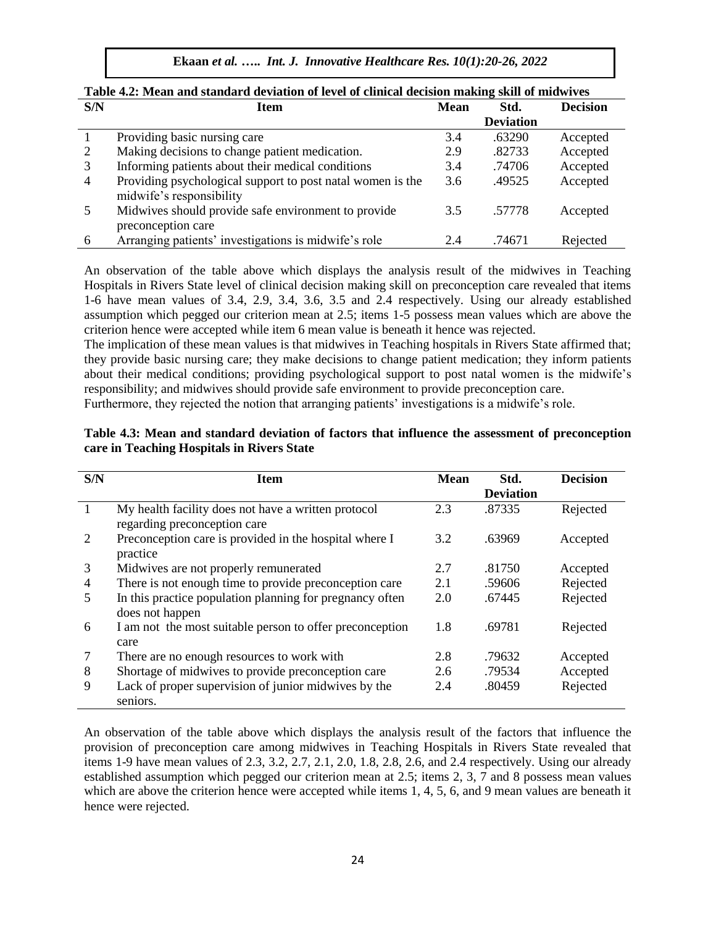**Ekaan** *et al.* **…..** *Int. J. Innovative Healthcare Res. 10(1):20-26, 2022*

| S/N            | Item                                                                                   | <b>Mean</b> | -<br>Std.        | <b>Decision</b> |
|----------------|----------------------------------------------------------------------------------------|-------------|------------------|-----------------|
|                |                                                                                        |             | <b>Deviation</b> |                 |
|                | Providing basic nursing care                                                           | 3.4         | .63290           | Accepted        |
| 2              | Making decisions to change patient medication.                                         | 2.9         | .82733           | Accepted        |
| 3              | Informing patients about their medical conditions                                      | 3.4         | .74706           | Accepted        |
| $\overline{4}$ | Providing psychological support to post natal women is the<br>midwife's responsibility | 3.6         | .49525           | Accepted        |
|                | Midwives should provide safe environment to provide                                    | 3.5         | .57778           | Accepted        |
|                | preconception care                                                                     |             |                  |                 |
| 6              | Arranging patients' investigations is midwife's role                                   | 2.4         | .74671           | Rejected        |

|  | Table 4.2: Mean and standard deviation of level of clinical decision making skill of midwives |  |  |  |
|--|-----------------------------------------------------------------------------------------------|--|--|--|
|--|-----------------------------------------------------------------------------------------------|--|--|--|

An observation of the table above which displays the analysis result of the midwives in Teaching Hospitals in Rivers State level of clinical decision making skill on preconception care revealed that items 1-6 have mean values of 3.4, 2.9, 3.4, 3.6, 3.5 and 2.4 respectively. Using our already established assumption which pegged our criterion mean at 2.5; items 1-5 possess mean values which are above the criterion hence were accepted while item 6 mean value is beneath it hence was rejected.

The implication of these mean values is that midwives in Teaching hospitals in Rivers State affirmed that; they provide basic nursing care; they make decisions to change patient medication; they inform patients about their medical conditions; providing psychological support to post natal women is the midwife's responsibility; and midwives should provide safe environment to provide preconception care.

Furthermore, they rejected the notion that arranging patients' investigations is a midwife's role.

| S/N | <b>Item</b>                                                                         | <b>Mean</b> | Std.             | <b>Decision</b> |
|-----|-------------------------------------------------------------------------------------|-------------|------------------|-----------------|
|     |                                                                                     |             | <b>Deviation</b> |                 |
|     | My health facility does not have a written protocol<br>regarding preconception care | 2.3         | .87335           | Rejected        |
| 2   | Preconception care is provided in the hospital where I<br>practice                  | 3.2         | .63969           | Accepted        |
| 3   | Midwives are not properly remunerated                                               | 2.7         | .81750           | Accepted        |
| 4   | There is not enough time to provide preconception care                              | 2.1         | .59606           | Rejected        |
| 5   | In this practice population planning for pregnancy often<br>does not happen         | 2.0         | .67445           | Rejected        |
| 6   | I am not the most suitable person to offer preconception<br>care                    | 1.8         | .69781           | Rejected        |
| 7   | There are no enough resources to work with                                          | 2.8         | .79632           | Accepted        |
| 8   | Shortage of midwives to provide preconception care                                  | 2.6         | .79534           | Accepted        |
| 9   | Lack of proper supervision of junior midwives by the<br>seniors.                    | 2.4         | .80459           | Rejected        |

**Table 4.3: Mean and standard deviation of factors that influence the assessment of preconception care in Teaching Hospitals in Rivers State**

An observation of the table above which displays the analysis result of the factors that influence the provision of preconception care among midwives in Teaching Hospitals in Rivers State revealed that items 1-9 have mean values of 2.3, 3.2, 2.7, 2.1, 2.0, 1.8, 2.8, 2.6, and 2.4 respectively. Using our already established assumption which pegged our criterion mean at 2.5; items 2, 3, 7 and 8 possess mean values which are above the criterion hence were accepted while items 1, 4, 5, 6, and 9 mean values are beneath it hence were rejected.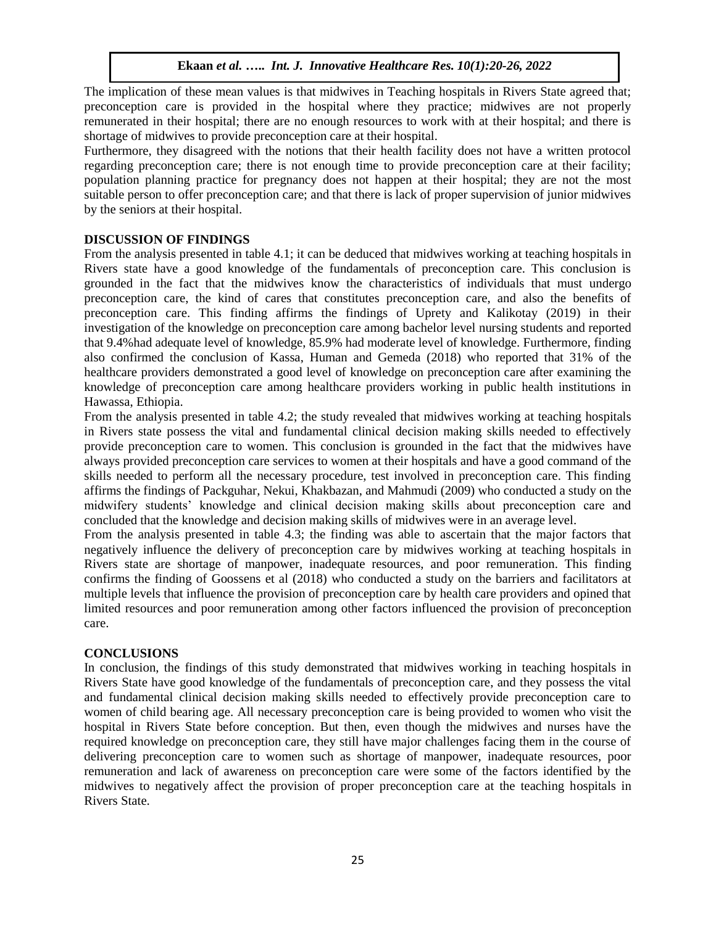The implication of these mean values is that midwives in Teaching hospitals in Rivers State agreed that; preconception care is provided in the hospital where they practice; midwives are not properly remunerated in their hospital; there are no enough resources to work with at their hospital; and there is shortage of midwives to provide preconception care at their hospital.

Furthermore, they disagreed with the notions that their health facility does not have a written protocol regarding preconception care; there is not enough time to provide preconception care at their facility; population planning practice for pregnancy does not happen at their hospital; they are not the most suitable person to offer preconception care; and that there is lack of proper supervision of junior midwives by the seniors at their hospital.

#### **DISCUSSION OF FINDINGS**

From the analysis presented in table 4.1; it can be deduced that midwives working at teaching hospitals in Rivers state have a good knowledge of the fundamentals of preconception care. This conclusion is grounded in the fact that the midwives know the characteristics of individuals that must undergo preconception care, the kind of cares that constitutes preconception care, and also the benefits of preconception care. This finding affirms the findings of Uprety and Kalikotay (2019) in their investigation of the knowledge on preconception care among bachelor level nursing students and reported that 9.4%had adequate level of knowledge, 85.9% had moderate level of knowledge. Furthermore, finding also confirmed the conclusion of Kassa, Human and Gemeda (2018) who reported that 31% of the healthcare providers demonstrated a good level of knowledge on preconception care after examining the knowledge of preconception care among healthcare providers working in public health institutions in Hawassa, Ethiopia.

From the analysis presented in table 4.2; the study revealed that midwives working at teaching hospitals in Rivers state possess the vital and fundamental clinical decision making skills needed to effectively provide preconception care to women. This conclusion is grounded in the fact that the midwives have always provided preconception care services to women at their hospitals and have a good command of the skills needed to perform all the necessary procedure, test involved in preconception care. This finding affirms the findings of Packguhar, Nekui, Khakbazan, and Mahmudi (2009) who conducted a study on the midwifery students' knowledge and clinical decision making skills about preconception care and concluded that the knowledge and decision making skills of midwives were in an average level.

From the analysis presented in table 4.3; the finding was able to ascertain that the major factors that negatively influence the delivery of preconception care by midwives working at teaching hospitals in Rivers state are shortage of manpower, inadequate resources, and poor remuneration. This finding confirms the finding of Goossens et al (2018) who conducted a study on the barriers and facilitators at multiple levels that influence the provision of preconception care by health care providers and opined that limited resources and poor remuneration among other factors influenced the provision of preconception care.

#### **CONCLUSIONS**

In conclusion, the findings of this study demonstrated that midwives working in teaching hospitals in Rivers State have good knowledge of the fundamentals of preconception care, and they possess the vital and fundamental clinical decision making skills needed to effectively provide preconception care to women of child bearing age. All necessary preconception care is being provided to women who visit the hospital in Rivers State before conception. But then, even though the midwives and nurses have the required knowledge on preconception care, they still have major challenges facing them in the course of delivering preconception care to women such as shortage of manpower, inadequate resources, poor remuneration and lack of awareness on preconception care were some of the factors identified by the midwives to negatively affect the provision of proper preconception care at the teaching hospitals in Rivers State.